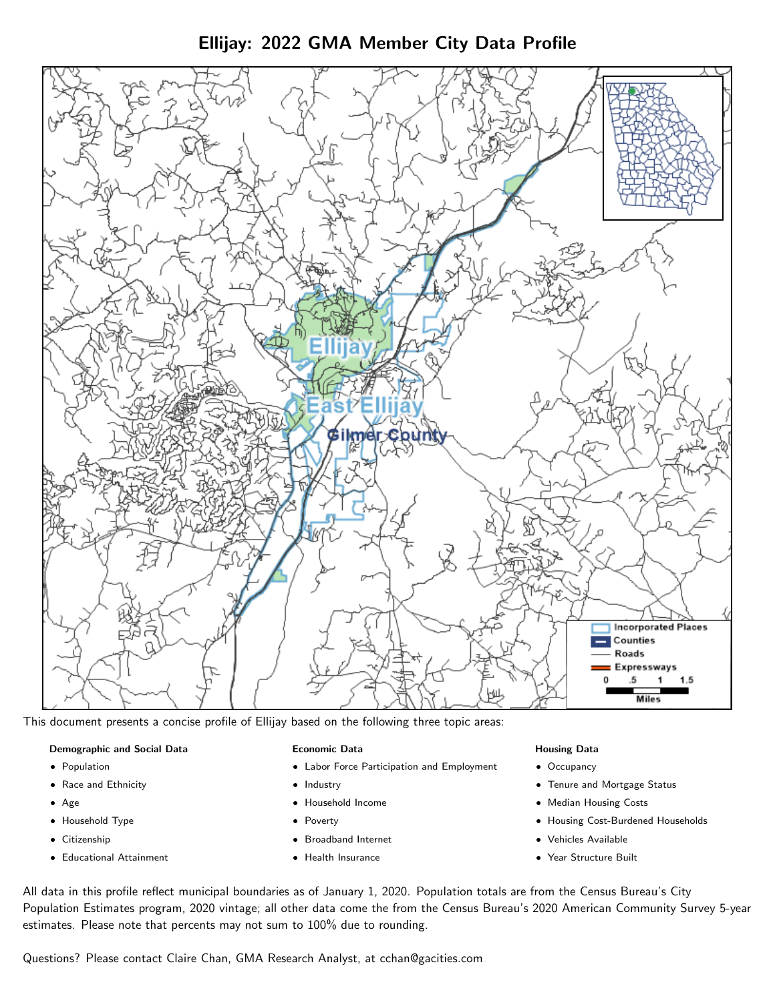Ellijay: 2022 GMA Member City Data Profile



This document presents a concise profile of Ellijay based on the following three topic areas:

#### Demographic and Social Data

- **•** Population
- Race and Ethnicity
- Age
- Household Type
- **Citizenship**
- Educational Attainment

## Economic Data

- Labor Force Participation and Employment
- Industry
- Household Income
- Poverty
- Broadband Internet
- Health Insurance

#### Housing Data

- Occupancy
- Tenure and Mortgage Status
- Median Housing Costs
- Housing Cost-Burdened Households
- Vehicles Available
- Year Structure Built

All data in this profile reflect municipal boundaries as of January 1, 2020. Population totals are from the Census Bureau's City Population Estimates program, 2020 vintage; all other data come the from the Census Bureau's 2020 American Community Survey 5-year estimates. Please note that percents may not sum to 100% due to rounding.

Questions? Please contact Claire Chan, GMA Research Analyst, at [cchan@gacities.com.](mailto:cchan@gacities.com)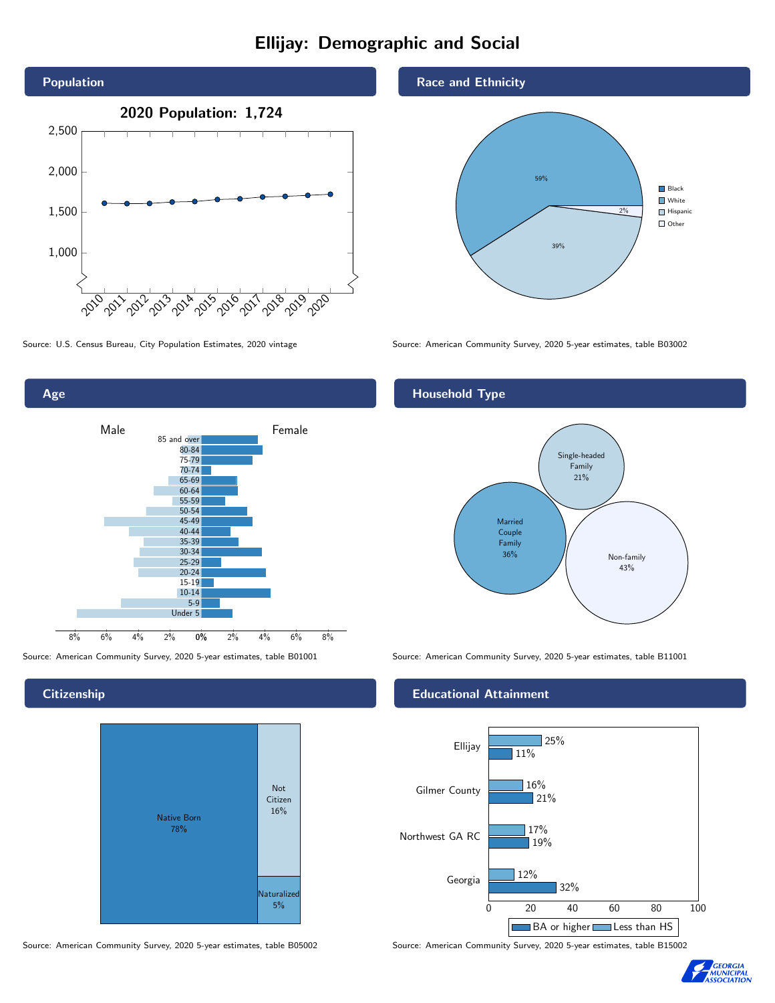# Ellijay: Demographic and Social



0% 2% 4% 6% 8% Male **Female** 8% 6% 4% 2% 85 and over 80-84 75-79 70-74 65-69 60-64 55-59 50-54 45-49 40-44 35-39 30-34 25-29 20-24 15-19 10-14 5-9 Under 5

## **Citizenship**

Age



Source: American Community Survey, 2020 5-year estimates, table B05002 Source: American Community Survey, 2020 5-year estimates, table B15002

## Race and Ethnicity



Source: U.S. Census Bureau, City Population Estimates, 2020 vintage Source: American Community Survey, 2020 5-year estimates, table B03002

## Household Type



Source: American Community Survey, 2020 5-year estimates, table B01001 Source: American Community Survey, 2020 5-year estimates, table B11001

## Educational Attainment



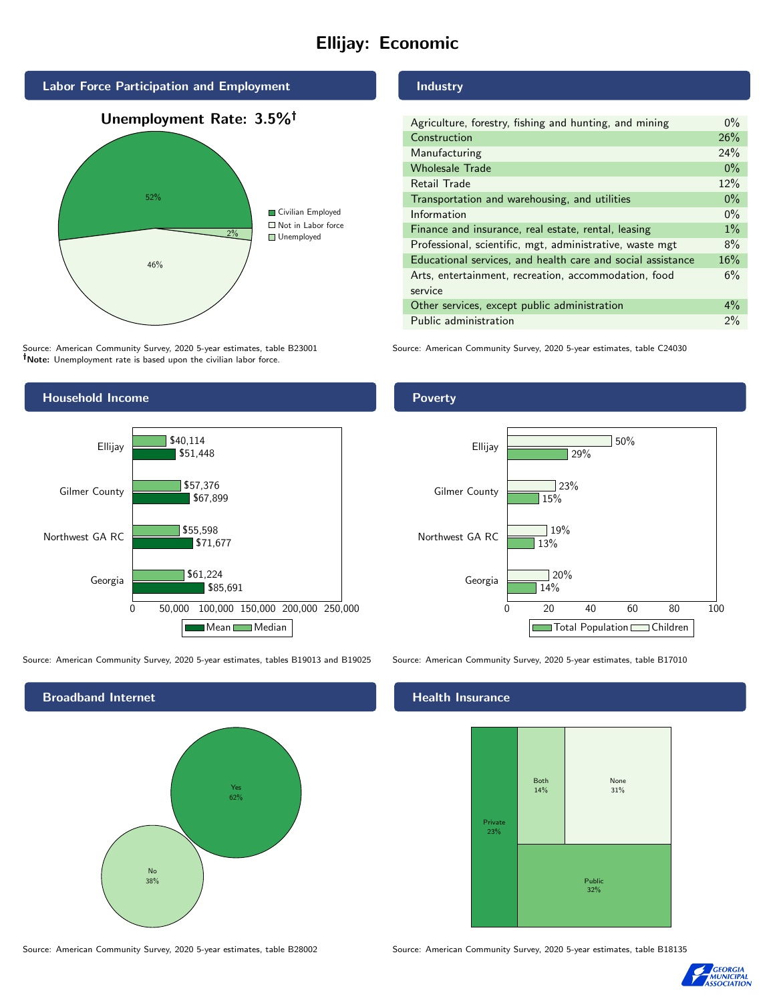# Ellijay: Economic



Source: American Community Survey, 2020 5-year estimates, table B23001 Note: Unemployment rate is based upon the civilian labor force.

## Industry

| Agriculture, forestry, fishing and hunting, and mining      | $0\%$ |
|-------------------------------------------------------------|-------|
| Construction                                                | 26%   |
| Manufacturing                                               | 24%   |
| <b>Wholesale Trade</b>                                      | $0\%$ |
| Retail Trade                                                | 12%   |
| Transportation and warehousing, and utilities               | $0\%$ |
| Information                                                 | $0\%$ |
| Finance and insurance, real estate, rental, leasing         | $1\%$ |
| Professional, scientific, mgt, administrative, waste mgt    | 8%    |
| Educational services, and health care and social assistance | 16%   |
| Arts, entertainment, recreation, accommodation, food        | 6%    |
| service                                                     |       |
| Other services, except public administration                | $4\%$ |
| Public administration                                       | 2%    |

Source: American Community Survey, 2020 5-year estimates, table C24030



Source: American Community Survey, 2020 5-year estimates, tables B19013 and B19025 Source: American Community Survey, 2020 5-year estimates, table B17010

Broadband Internet No 38% Yes 62%

#### Health Insurance



Source: American Community Survey, 2020 5-year estimates, table B28002 Source: American Community Survey, 2020 5-year estimates, table B18135



## **Poverty**